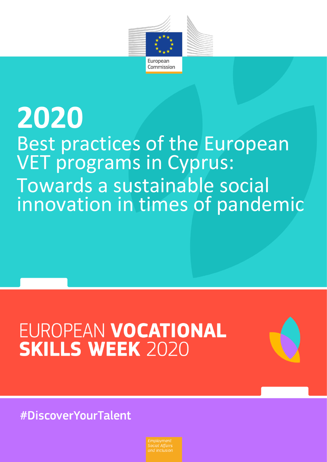

# Best practices of the European VET programs in Cyprus: Towards a sustainable social innovation in times of pandemic **2020**

# EUROPEAN VOCATIONAL **SKILLS WEEK 2020**



#DiscoverYourTalent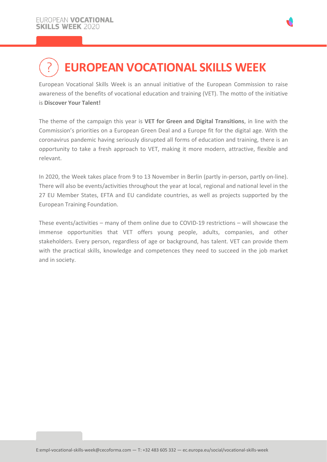# **EUROPEAN VOCATIONAL SKILLS WEEK**

European Vocational Skills Week is an annual initiative of the European Commission to raise awareness of the benefits of vocational education and training (VET). The motto of the initiative is **Discover Your Talent!**

The theme of the campaign this year is **VET for Green and Digital Transitions**, in line with the Commission's priorities on a European Green Deal and a Europe fit for the digital age. With the coronavirus pandemic having seriously disrupted all forms of education and training, there is an opportunity to take a fresh approach to VET, making it more modern, attractive, flexible and relevant.

In 2020, the Week takes place from 9 to 13 November in Berlin (partly in-person, partly on-line). There will also be events/activities throughout the year at local, regional and national level in the 27 EU Member States, EFTA and EU candidate countries, as well as projects supported by the European Training Foundation.

These events/activities – many of them online due to COVID-19 restrictions – will showcase the immense opportunities that VET offers young people, adults, companies, and other stakeholders. Every person, regardless of age or background, has talent. VET can provide them with the practical skills, knowledge and competences they need to succeed in the job market and in society.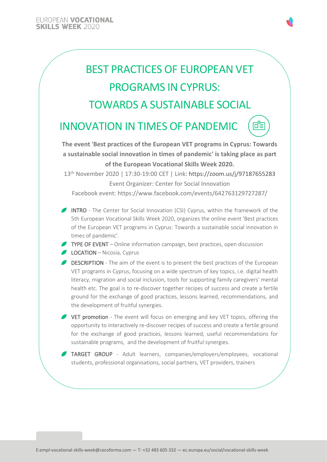

**INNOVATION IN TIMES OF PANDEMIC** 

**The event 'Best practices of the European VET programs in Cyprus: Towards a sustainable social innovation in times of pandemic' is taking place as part of the European Vocational Skills Week 2020.**

盾言

13 th November 2020 | 17:30-19:00 CET | Link: https://zoom.us/j/97187655283 Event Organizer: Center for Social Innovation

Facebook event: https://www.facebook.com/events/642763129727287/

- INTRO The Center for Social Innovation (CSI) Cyprus, within the framework of the 5th European Vocational Skills Week 2020, organizes the online event 'Best practices of the European VET programs in Cyprus: Towards a sustainable social innovation in times of pandemic'.
- TYPE OF EVENT Online information campaign, best practices, open discussion **LOCATION** – Nicosia, Cyprus
- **DESCRIPTION** The aim of the event is to present the best practices of the European VET programs in Cyprus, focusing on a wide spectrum of key topics, i.e. digital health literacy, migration and social inclusion, tools for supporting family caregivers' mental health etc. The goal is to re-discover together recipes of success and create a fertile ground for the exchange of good practices, lessons learned, recommendations, and the development of fruitful synergies.

VET promotion - The event will focus on emerging and key VET topics, offering the opportunity to interactively re-discover recipes of success and create a fertile ground for the exchange of good practices, lessons learned, useful recommendations for sustainable programs, and the development of fruitful synergies.

TARGET GROUP - Adult learners, companies/employers/employees, vocational students, professional organisations, social partners, VET providers, trainers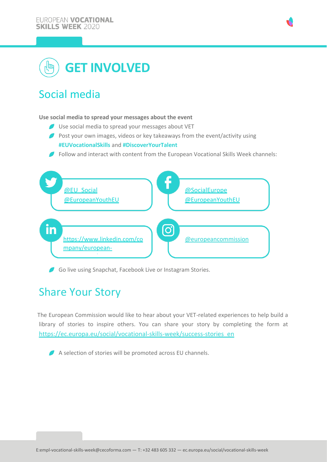



# Social media

### **Use social media to spread your messages about the event**

- Use social media to spread your messages about VET
- Post your own images, videos or key takeaways from the event/activity using **#EUVocationalSkills** and **#DiscoverYourTalent**
- Follow and interact with content from the European Vocational Skills Week channels:



Go live using Snapchat, Facebook Live or Instagram Stories.

## Share Your Story

The European Commission would like to hear about your VET-related experiences to help build a library of stories to inspire others. You can share your story by completing the form at [https://ec.europa.eu/social/vocational-skills-week/success-stories\\_en](https://ec.europa.eu/social/vocational-skills-week/success-stories_en)

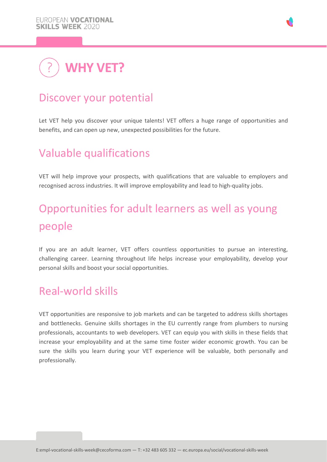

## Discover your potential

Let VET help you discover your unique talents! VET offers a huge range of opportunities and benefits, and can open up new, unexpected possibilities for the future.

# Valuable qualifications

VET will help improve your prospects, with qualifications that are valuable to employers and recognised across industries. It will improve employability and lead to high-quality jobs.

# Opportunities for adult learners as well as young people

If you are an adult learner, VET offers countless opportunities to pursue an interesting, challenging career. Learning throughout life helps increase your employability, develop your personal skills and boost your social opportunities.

## Real-world skills

VET opportunities are responsive to job markets and can be targeted to address skills shortages and bottlenecks. Genuine skills shortages in the EU currently range from plumbers to nursing professionals, accountants to web developers. VET can equip you with skills in these fields that increase your employability and at the same time foster wider economic growth. You can be sure the skills you learn during your VET experience will be valuable, both personally and professionally.

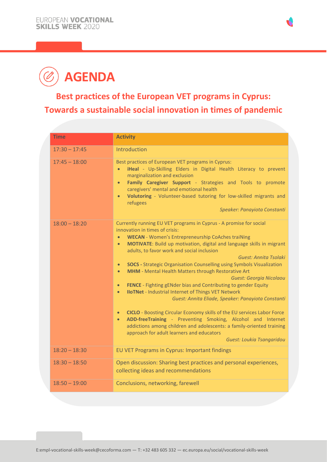

# **AGENDA**

## **Best practices of the European VET programs in Cyprus: Towards a sustainable social innovation in times of pandemic**

| <b>Time</b>     | <b>Activity</b>                                                                                                                                                                                                                                                                                                                                                                                                                                                                                                                                                                                                                                                                                                                                                                                                                                                                                                                                                                                                                                                         |
|-----------------|-------------------------------------------------------------------------------------------------------------------------------------------------------------------------------------------------------------------------------------------------------------------------------------------------------------------------------------------------------------------------------------------------------------------------------------------------------------------------------------------------------------------------------------------------------------------------------------------------------------------------------------------------------------------------------------------------------------------------------------------------------------------------------------------------------------------------------------------------------------------------------------------------------------------------------------------------------------------------------------------------------------------------------------------------------------------------|
| $17:30 - 17:45$ | Introduction                                                                                                                                                                                                                                                                                                                                                                                                                                                                                                                                                                                                                                                                                                                                                                                                                                                                                                                                                                                                                                                            |
| $17:45 - 18:00$ | Best practices of European VET programs in Cyprus:<br>iHeal - Up-Skilling Elders in Digital Health Literacy to prevent<br>marginalization and exclusion<br>Family Caregiver Support - Strategies and Tools to promote<br>$\bullet$<br>caregivers' mental and emotional health<br>Volutoring - Volunteer-based tutoring for low-skilled migrants and<br>$\bullet$<br>refugees<br>Speaker: Panayiota Constanti                                                                                                                                                                                                                                                                                                                                                                                                                                                                                                                                                                                                                                                            |
| $18:00 - 18:20$ | Currently running EU VET programs in Cyprus - A promise for social<br>innovation in times of crisis:<br><b>WECAN</b> - Women's Entrepreneurship CoAches traiNing<br>$\bullet$<br>MOTIVATE: Build up motivation, digital and language skills in migrant<br>$\bullet$<br>adults, to favor work and social inclusion<br>Guest: Annita Tsolaki<br><b>SOCS</b> - Strategic Organisation Counselling using Symbols Visualization<br>$\bullet$<br><b>MHM</b> - Mental Health Matters through Restorative Art<br>$\bullet$<br>Guest: Georgia Nicolaou<br>FENCE - Fighting gENder bias and Contributing to gender Equity<br>$\bullet$<br><b>IIoTNet - Industrial Internet of Things VET Network</b><br>$\bullet$<br>Guest: Annita Eliade, Speaker: Panayiota Constanti<br>CICLO - Boosting Circular Economy skills of the EU services Labor Force<br>$\bullet$<br>ADD-freeTraining - Preventing Smoking, Alcohol and Internet<br>addictions among children and adolescents: a family-oriented training<br>approach for adult learners and educators<br>Guest: Loukia Tsangaridou |
| $18:20 - 18:30$ | EU VET Programs in Cyprus: Important findings                                                                                                                                                                                                                                                                                                                                                                                                                                                                                                                                                                                                                                                                                                                                                                                                                                                                                                                                                                                                                           |
| $18:30 - 18:50$ | Open discussion: Sharing best practices and personal experiences,<br>collecting ideas and recommendations                                                                                                                                                                                                                                                                                                                                                                                                                                                                                                                                                                                                                                                                                                                                                                                                                                                                                                                                                               |
| $18:50 - 19:00$ | Conclusions, networking, farewell                                                                                                                                                                                                                                                                                                                                                                                                                                                                                                                                                                                                                                                                                                                                                                                                                                                                                                                                                                                                                                       |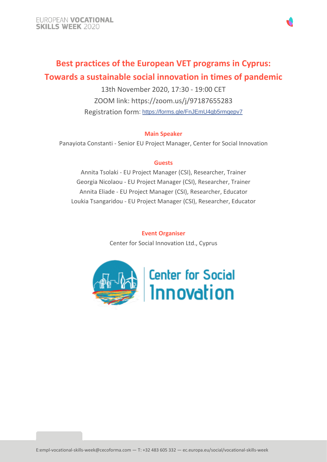

### **Best practices of the European VET programs in Cyprus: Towards a sustainable social innovation in times of pandemic**

13th November 2020, 17:30 - 19:00 CET ZOOM link: https://zoom.us/j/97187655283 Registration form: [https://forms.gle/FnJEmU4gb5rmqepv7](https://l.facebook.com/l.php?u=https%3A%2F%2Fforms.gle%2FFnJEmU4gb5rmqepv7%3Ffbclid%3DIwAR0aG-5Qt1dsLz8dGXcHunlOImE0yZDNk-wSQEgIEaVcX2V0qClwdh44X-A&h=AT2h8G5b9w1vvonMSuAvy2HKcJ5Hj7oQsD-0unZmcilBV3YkQlFfsI5_TAbSp4SyWfo4cCDOoseNoIGV-YuKUjp8wFUw8jDyHr3jMrB6-wmVUe4BYfZ7UuwYE11AoJ1i4w)

### **Main Speaker**

Panayiota Constanti - Senior EU Project Manager, Center for Social Innovation

### **Guests**

Annita Tsolaki - EU Project Manager (CSI), Researcher, Trainer Georgia Nicolaou - EU Project Manager (CSI), Researcher, Trainer Annita Eliade - EU Project Manager (CSI), Researcher, Educator Loukia Tsangaridou - EU Project Manager (CSI), Researcher, Educator

> **Event Organiser** Center for Social Innovation Ltd., Cyprus